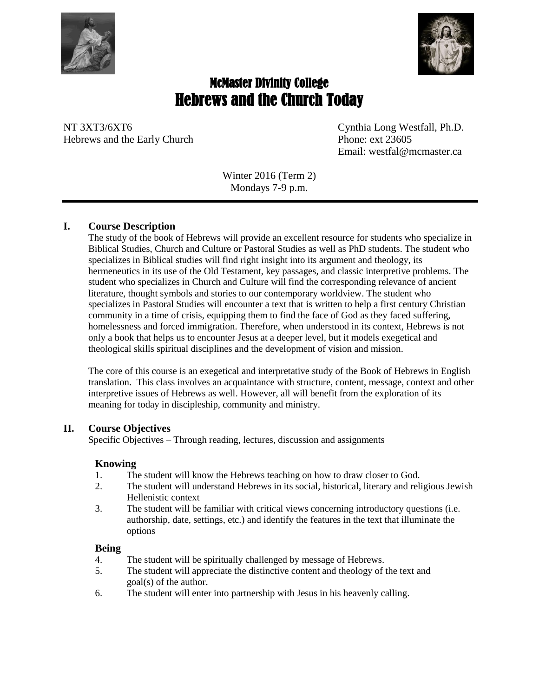



# McMaster Divinity College Hebrews and the Church Today

NT 3XT3/6XT6 Cynthia Long Westfall, Ph.D. Hebrews and the Early Church Phone: ext 23605

Email: westfal@mcmaster.ca

Winter 2016 (Term 2) Mondays 7-9 p.m.

# **I. Course Description**

The study of the book of Hebrews will provide an excellent resource for students who specialize in Biblical Studies, Church and Culture or Pastoral Studies as well as PhD students. The student who specializes in Biblical studies will find right insight into its argument and theology, its hermeneutics in its use of the Old Testament, key passages, and classic interpretive problems. The student who specializes in Church and Culture will find the corresponding relevance of ancient literature, thought symbols and stories to our contemporary worldview. The student who specializes in Pastoral Studies will encounter a text that is written to help a first century Christian community in a time of crisis, equipping them to find the face of God as they faced suffering, homelessness and forced immigration. Therefore, when understood in its context, Hebrews is not only a book that helps us to encounter Jesus at a deeper level, but it models exegetical and theological skills spiritual disciplines and the development of vision and mission.

The core of this course is an exegetical and interpretative study of the Book of Hebrews in English translation. This class involves an acquaintance with structure, content, message, context and other interpretive issues of Hebrews as well. However, all will benefit from the exploration of its meaning for today in discipleship, community and ministry.

# **II. Course Objectives**

Specific Objectives – Through reading, lectures, discussion and assignments

# **Knowing**

- 1. The student will know the Hebrews teaching on how to draw closer to God.
- 2. The student will understand Hebrews in its social, historical, literary and religious Jewish Hellenistic context
- 3. The student will be familiar with critical views concerning introductory questions (i.e. authorship, date, settings, etc.) and identify the features in the text that illuminate the options

# **Being**

- 4. The student will be spiritually challenged by message of Hebrews.
- 5. The student will appreciate the distinctive content and theology of the text and goal(s) of the author.
- 6. The student will enter into partnership with Jesus in his heavenly calling.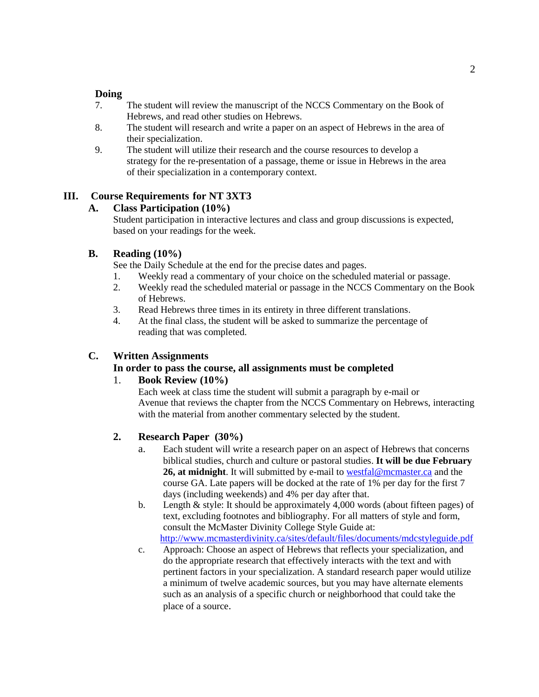### **Doing**

- 7. The student will review the manuscript of the NCCS Commentary on the Book of Hebrews, and read other studies on Hebrews.
- 8. The student will research and write a paper on an aspect of Hebrews in the area of their specialization.
- 9. The student will utilize their research and the course resources to develop a strategy for the re-presentation of a passage, theme or issue in Hebrews in the area of their specialization in a contemporary context.

# **III. Course Requirements for NT 3XT3**

# **A. Class Participation (10%)**

Student participation in interactive lectures and class and group discussions is expected, based on your readings for the week.

# **B. Reading (10%)**

See the Daily Schedule at the end for the precise dates and pages.

- 1. Weekly read a commentary of your choice on the scheduled material or passage.
- 2. Weekly read the scheduled material or passage in the NCCS Commentary on the Book of Hebrews.
- 3. Read Hebrews three times in its entirety in three different translations.
- 4. At the final class, the student will be asked to summarize the percentage of reading that was completed.

# **C. Written Assignments**

# **In order to pass the course, all assignments must be completed**

# 1. **Book Review (10%)**

Each week at class time the student will submit a paragraph by e-mail or Avenue that reviews the chapter from the NCCS Commentary on Hebrews, interacting with the material from another commentary selected by the student.

# **2. Research Paper (30%)**

- a. Each student will write a research paper on an aspect of Hebrews that concerns biblical studies, church and culture or pastoral studies. **It will be due February 26, at midnight**. It will submitted by e-mail to [westfal@mcmaster.ca](mailto:westfal@mcmaster.ca) and the course GA. Late papers will be docked at the rate of 1% per day for the first 7 days (including weekends) and 4% per day after that.
- b. Length & style: It should be approximately 4,000 words (about fifteen pages) of text, excluding footnotes and bibliography. For all matters of style and form, consult the McMaster Divinity College Style Guide at: [http://www.mcmasterdivinity.ca/sites/default/files/documents/mdcstyleguide.pdf](http://www.mcmasterdivinity.ca/sites/default/files/documents/MDCStyleGuide.pdf)
- c. Approach: Choose an aspect of Hebrews that reflects your specialization, and do the appropriate research that effectively interacts with the text and with pertinent factors in your specialization. A standard research paper would utilize a minimum of twelve academic sources, but you may have alternate elements such as an analysis of a specific church or neighborhood that could take the place of a source.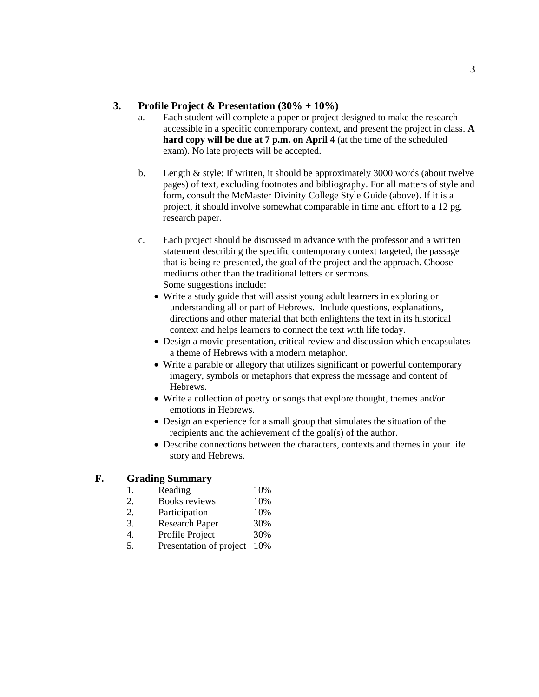### **3. Profile Project & Presentation (30% + 10%)**

- a. Each student will complete a paper or project designed to make the research accessible in a specific contemporary context, and present the project in class. **A hard copy will be due at 7 p.m. on April 4** (at the time of the scheduled exam). No late projects will be accepted.
- b. Length & style: If written, it should be approximately 3000 words (about twelve pages) of text, excluding footnotes and bibliography. For all matters of style and form, consult the McMaster Divinity College Style Guide (above). If it is a project, it should involve somewhat comparable in time and effort to a 12 pg. research paper.
- c. Each project should be discussed in advance with the professor and a written statement describing the specific contemporary context targeted, the passage that is being re-presented, the goal of the project and the approach. Choose mediums other than the traditional letters or sermons. Some suggestions include:
	- Write a study guide that will assist young adult learners in exploring or understanding all or part of Hebrews. Include questions, explanations, directions and other material that both enlightens the text in its historical context and helps learners to connect the text with life today.
	- Design a movie presentation, critical review and discussion which encapsulates a theme of Hebrews with a modern metaphor.
	- Write a parable or allegory that utilizes significant or powerful contemporary imagery, symbols or metaphors that express the message and content of Hebrews.
	- Write a collection of poetry or songs that explore thought, themes and/or emotions in Hebrews.
	- Design an experience for a small group that simulates the situation of the recipients and the achievement of the goal(s) of the author.
	- Describe connections between the characters, contexts and themes in your life story and Hebrews.

### **F. Grading Summary**

- 1. Reading 10%
- 2. Books reviews 10%
- 2. Participation 10%
- 3. Research Paper 30%
- 4. Profile Project 30%
- 5. Presentation of project 10%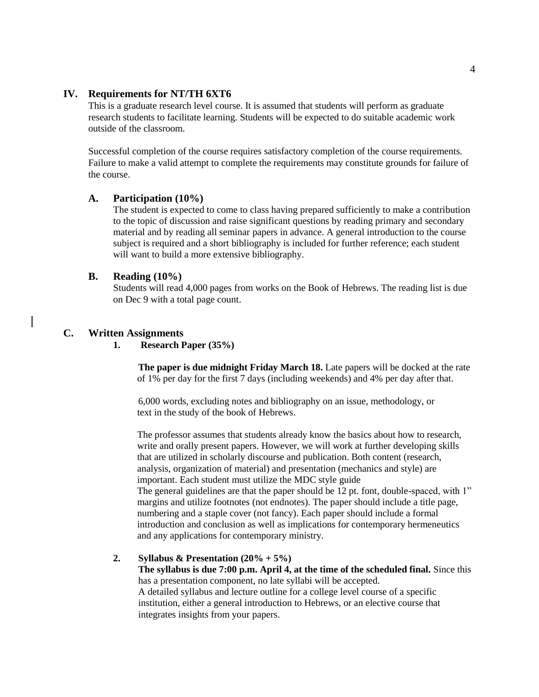### **IV. Requirements for NT/TH 6XT6**

This is a graduate research level course. It is assumed that students will perform as graduate research students to facilitate learning. Students will be expected to do suitable academic work outside of the classroom.

Successful completion of the course requires satisfactory completion of the course requirements. Failure to make a valid attempt to complete the requirements may constitute grounds for failure of the course.

### **A. Participation (10%)**

The student is expected to come to class having prepared sufficiently to make a contribution to the topic of discussion and raise significant questions by reading primary and secondary material and by reading all seminar papers in advance. A general introduction to the course subject is required and a short bibliography is included for further reference; each student will want to build a more extensive bibliography.

### **B. Reading (10%)**

Students will read 4,000 pages from works on the Book of Hebrews. The reading list is due on Dec 9 with a total page count.

### **C. Written Assignments**

**1. Research Paper (35%)**

**The paper is due midnight Friday March 18.** Late papers will be docked at the rate of 1% per day for the first 7 days (including weekends) and 4% per day after that.

6,000 words, excluding notes and bibliography on an issue, methodology, or text in the study of the book of Hebrews.

The professor assumes that students already know the basics about how to research, write and orally present papers. However, we will work at further developing skills that are utilized in scholarly discourse and publication. Both content (research, analysis, organization of material) and presentation (mechanics and style) are important. Each student must utilize the MDC style guide The general guidelines are that the paper should be 12 pt. font, double-spaced, with 1" margins and utilize footnotes (not endnotes). The paper should include a title page, numbering and a staple cover (not fancy). Each paper should include a formal introduction and conclusion as well as implications for contemporary hermeneutics and any applications for contemporary ministry.

### **2. Syllabus & Presentation (20% + 5%)**

**The syllabus is due 7:00 p.m. April 4, at the time of the scheduled final.** Since this has a presentation component, no late syllabi will be accepted. A detailed syllabus and lecture outline for a college level course of a specific institution, either a general introduction to Hebrews, or an elective course that integrates insights from your papers.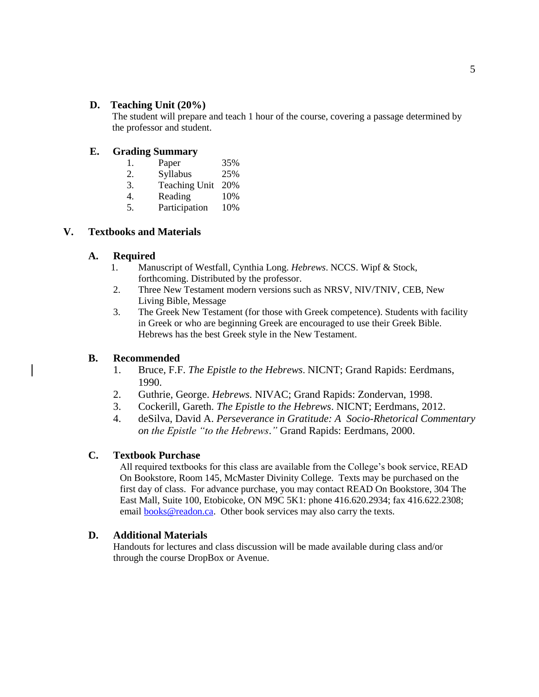### **D. Teaching Unit (20%)**

The student will prepare and teach 1 hour of the course, covering a passage determined by the professor and student.

# **E. Grading Summary**

| 1. | Paper             | 35% |
|----|-------------------|-----|
| 2. | Syllabus          | 25% |
| 3. | Teaching Unit 20% |     |

- 4. Reading 10%
- 5. Participation 10%

# **V. Textbooks and Materials**

### **A. Required**

- 1. Manuscript of Westfall, Cynthia Long. *Hebrews*. NCCS. Wipf & Stock, forthcoming. Distributed by the professor.
- 2. Three New Testament modern versions such as NRSV, NIV/TNIV, CEB, New Living Bible, Message
- 3. The Greek New Testament (for those with Greek competence). Students with facility in Greek or who are beginning Greek are encouraged to use their Greek Bible. Hebrews has the best Greek style in the New Testament.

# **B. Recommended**

- 1. Bruce, F.F. *The Epistle to the Hebrews*. NICNT; Grand Rapids: Eerdmans, 1990.
- 2. Guthrie, George. *Hebrews.* NIVAC; Grand Rapids: Zondervan, 1998.
- 3. Cockerill, Gareth. *The Epistle to the Hebrews*. NICNT; Eerdmans, 2012.
- 4. deSilva, David A. *Perseverance in Gratitude: A Socio-Rhetorical Commentary on the Epistle "to the Hebrews*.*"* Grand Rapids: Eerdmans, 2000.

# **C. Textbook Purchase**

All required textbooks for this class are available from the College's book service, READ On Bookstore, Room 145, McMaster Divinity College. Texts may be purchased on the first day of class. For advance purchase, you may contact READ On Bookstore, 304 The East Mall, Suite 100, Etobicoke, ON M9C 5K1: phone 416.620.2934; fax 416.622.2308; email [books@readon.ca.](mailto:books@readon.ca) Other book services may also carry the texts.

### **D. Additional Materials**

Handouts for lectures and class discussion will be made available during class and/or through the course DropBox or Avenue.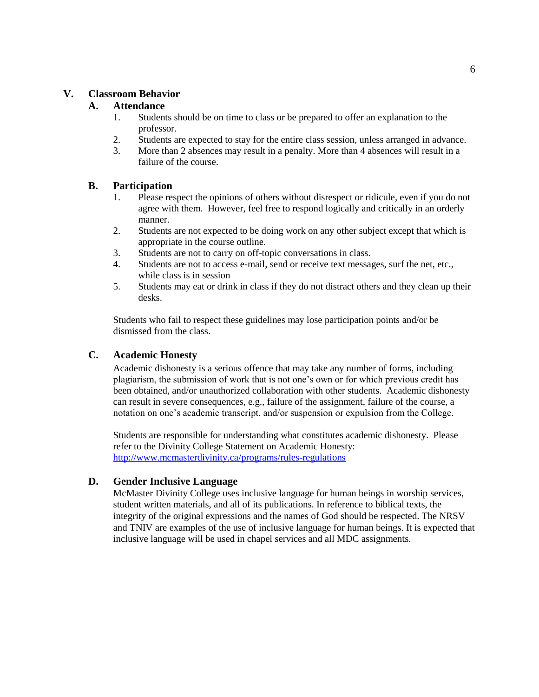### **V. Classroom Behavior**

### **A. Attendance**

- 1. Students should be on time to class or be prepared to offer an explanation to the professor.
- 2. Students are expected to stay for the entire class session, unless arranged in advance.
- 3. More than 2 absences may result in a penalty. More than 4 absences will result in a failure of the course.

### **B. Participation**

- 1. Please respect the opinions of others without disrespect or ridicule, even if you do not agree with them. However, feel free to respond logically and critically in an orderly manner.
- 2. Students are not expected to be doing work on any other subject except that which is appropriate in the course outline.
- 3. Students are not to carry on off-topic conversations in class.
- 4. Students are not to access e-mail, send or receive text messages, surf the net, etc., while class is in session
- 5. Students may eat or drink in class if they do not distract others and they clean up their desks.

Students who fail to respect these guidelines may lose participation points and/or be dismissed from the class.

### **C. Academic Honesty**

Academic dishonesty is a serious offence that may take any number of forms, including plagiarism, the submission of work that is not one's own or for which previous credit has been obtained, and/or unauthorized collaboration with other students. Academic dishonesty can result in severe consequences, e.g., failure of the assignment, failure of the course, a notation on one's academic transcript, and/or suspension or expulsion from the College.

Students are responsible for understanding what constitutes academic dishonesty. Please refer to the Divinity College Statement on Academic Honesty: <http://www.mcmasterdivinity.ca/programs/rules-regulations>

### **D. Gender Inclusive Language**

McMaster Divinity College uses inclusive language for human beings in worship services, student written materials, and all of its publications. In reference to biblical texts, the integrity of the original expressions and the names of God should be respected. The NRSV and TNIV are examples of the use of inclusive language for human beings. It is expected that inclusive language will be used in chapel services and all MDC assignments.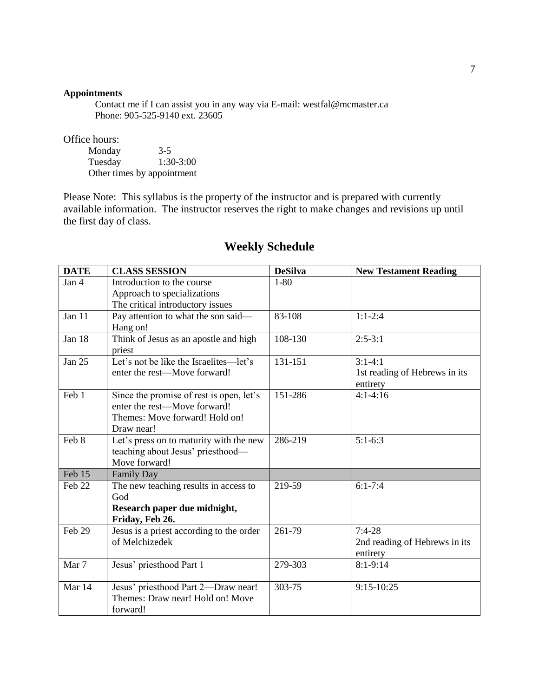### **Appointments**

Contact me if I can assist you in any way via E-mail: westfal@mcmaster.ca Phone: 905-525-9140 ext. 23605

Office hours:

Monday 3-5<br>Tuesday 1:30-3:00 Tuesday Other times by appointment

Please Note: This syllabus is the property of the instructor and is prepared with currently available information. The instructor reserves the right to make changes and revisions up until the first day of class.

| <b>DATE</b>      | <b>CLASS SESSION</b>                                                         | <b>DeSilva</b> | <b>New Testament Reading</b>              |
|------------------|------------------------------------------------------------------------------|----------------|-------------------------------------------|
| Jan <sub>4</sub> | Introduction to the course                                                   | $1 - 80$       |                                           |
|                  | Approach to specializations                                                  |                |                                           |
|                  | The critical introductory issues                                             |                |                                           |
| Jan 11           | Pay attention to what the son said—<br>Hang on!                              | 83-108         | $1:1-2:4$                                 |
| Jan 18           | Think of Jesus as an apostle and high<br>priest                              | 108-130        | $2:5-3:1$                                 |
| <b>Jan 25</b>    | Let's not be like the Israelites—let's                                       | 131-151        | $3:1-4:1$                                 |
|                  | enter the rest—Move forward!                                                 |                | 1st reading of Hebrews in its<br>entirety |
| Feb 1            | Since the promise of rest is open, let's                                     | 151-286        | $4:1-4:16$                                |
|                  | enter the rest-Move forward!                                                 |                |                                           |
|                  | Themes: Move forward! Hold on!                                               |                |                                           |
|                  | Draw near!                                                                   |                |                                           |
| Feb 8            | Let's press on to maturity with the new<br>teaching about Jesus' priesthood- | 286-219        | $5:1-6:3$                                 |
|                  | Move forward!                                                                |                |                                           |
| Feb 15           | <b>Family Day</b>                                                            |                |                                           |
| Feb 22           | The new teaching results in access to                                        | 219-59         | $6:1 - 7:4$                               |
|                  | God                                                                          |                |                                           |
|                  | Research paper due midnight,                                                 |                |                                           |
|                  | Friday, Feb 26.                                                              |                |                                           |
| Feb 29           | Jesus is a priest according to the order                                     | 261-79         | $7:4-28$                                  |
|                  | of Melchizedek                                                               |                | 2nd reading of Hebrews in its             |
|                  |                                                                              |                | entirety                                  |
| Mar 7            | Jesus' priesthood Part 1                                                     | 279-303        | $8:1 - 9:14$                              |
| Mar 14           | Jesus' priesthood Part 2-Draw near!                                          | 303-75         | 9:15-10:25                                |
|                  | Themes: Draw near! Hold on! Move                                             |                |                                           |
|                  | forward!                                                                     |                |                                           |

# **Weekly Schedule**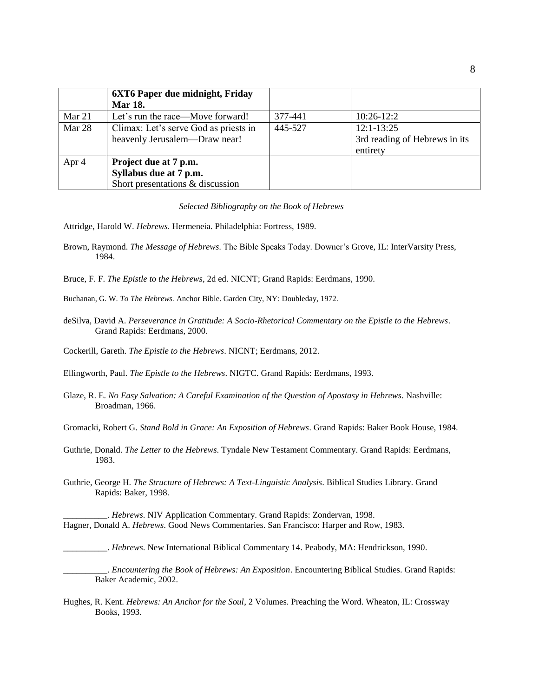|        | <b>6XT6 Paper due midnight, Friday</b> |         |                               |
|--------|----------------------------------------|---------|-------------------------------|
|        | <b>Mar 18.</b>                         |         |                               |
| Mar 21 | Let's run the race—Move forward!       | 377-441 | $10:26-12:2$                  |
| Mar 28 | Climax: Let's serve God as priests in  | 445-527 | $12:1-13:25$                  |
|        | heavenly Jerusalem-Draw near!          |         | 3rd reading of Hebrews in its |
|        |                                        |         | entirety                      |
| Apr 4  | Project due at 7 p.m.                  |         |                               |
|        | Syllabus due at 7 p.m.                 |         |                               |
|        | Short presentations & discussion       |         |                               |

#### *Selected Bibliography on the Book of Hebrews*

- Attridge, Harold W. *Hebrews*. Hermeneia. Philadelphia: Fortress, 1989.
- Brown, Raymond. *The Message of Hebrews*. The Bible Speaks Today. Downer's Grove, IL: InterVarsity Press, 1984.
- Bruce, F. F. *The Epistle to the Hebrews*, 2d ed. NICNT; Grand Rapids: Eerdmans, 1990.
- Buchanan, G. W. *To The Hebrews.* Anchor Bible. Garden City, NY: Doubleday, 1972.
- deSilva, David A. *Perseverance in Gratitude: A Socio-Rhetorical Commentary on the Epistle to the Hebrews*. Grand Rapids: Eerdmans, 2000.

Cockerill, Gareth. *The Epistle to the Hebrews*. NICNT; Eerdmans, 2012.

Ellingworth, Paul. *The Epistle to the Hebrews*. NIGTC. Grand Rapids: Eerdmans, 1993.

Glaze, R. E. *No Easy Salvation: A Careful Examination of the Question of Apostasy in Hebrews*. Nashville: Broadman, 1966.

Gromacki, Robert G. *Stand Bold in Grace: An Exposition of Hebrews*. Grand Rapids: Baker Book House, 1984.

- Guthrie, Donald. *The Letter to the Hebrews*. Tyndale New Testament Commentary. Grand Rapids: Eerdmans, 1983.
- Guthrie, George H. *The Structure of Hebrews: A Text-Linguistic Analysis*. Biblical Studies Library. Grand Rapids: Baker, 1998.

\_\_\_\_\_\_\_\_\_\_. *Hebrews*. NIV Application Commentary. Grand Rapids: Zondervan, 1998. Hagner, Donald A. *Hebrews*. Good News Commentaries. San Francisco: Harper and Row, 1983.

\_\_\_\_\_\_\_\_\_\_. *Hebrews*. New International Biblical Commentary 14. Peabody, MA: Hendrickson, 1990.

\_\_\_\_\_\_\_\_\_\_. *Encountering the Book of Hebrews: An Exposition*. Encountering Biblical Studies. Grand Rapids: Baker Academic, 2002.

Hughes, R. Kent. *Hebrews: An Anchor for the Soul*, 2 Volumes. Preaching the Word. Wheaton, IL: Crossway Books, 1993.